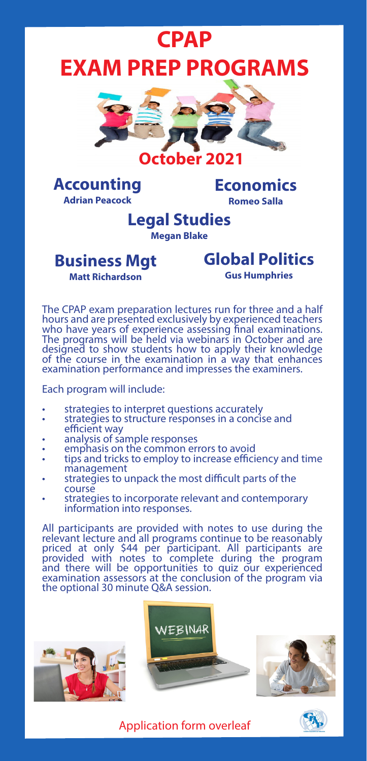# **CPAP EXAM PREP PROGRAMS**





**Economics Romeo Salla**

### **Legal Studies Megan Blake**

# **Business Mgt**

## **Global Politics**

**Matt Richardson**

**Gus Humphries**

The CPAP exam preparation lectures run for three and a half hours and are presented exclusively by experienced teachers who have years of experience assessing final examinations. The programs will be held via webinars in October and are designed to show students how to apply their knowledge of the course in the examination in a way that enhances examination performance and impresses the examiners.

Each program will include:

- 
- strategies to interpret questions accurately strategies to structure responses in a concise and
- 
- 
- efficient analysis of sample responses<br>• emphasis on the common errors to avoid<br>• tips and tricks to employ to increase efficiency and time<br>• management
- strategies to unpack the most difficult parts of the course
- strategies to incorporate relevant and contemporary information into responses.

All participants are provided with notes to use during the relevant lecture and all programs continue to be reasonably priced at only \$44 per participant. All participants are provided with notes to complete during the program and there will be opportunities to quiz our experienced examination assessors at the conclusion of the program via the optional 30 minute Q&A session.







Application form overleaf